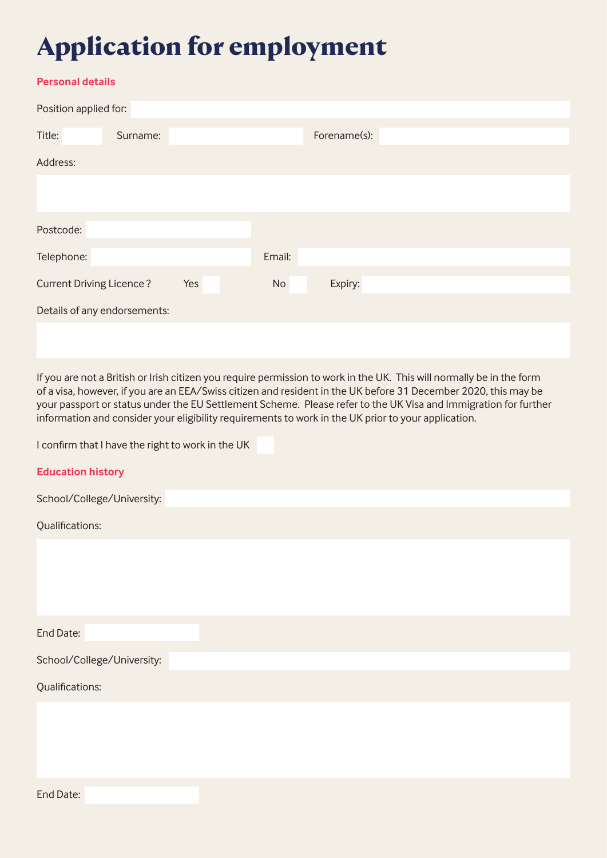## **Application for employment**

## **Personal details**

| Position applied for:           |          |     |        |              |  |  |
|---------------------------------|----------|-----|--------|--------------|--|--|
| Title:                          | Surname: |     |        | Forename(s): |  |  |
| Address:                        |          |     |        |              |  |  |
|                                 |          |     |        |              |  |  |
|                                 |          |     |        |              |  |  |
| Postcode:                       |          |     |        |              |  |  |
| Telephone:                      |          |     | Email: |              |  |  |
| <b>Current Driving Licence?</b> |          | Yes | No     | Expiry:      |  |  |
| Details of any endorsements:    |          |     |        |              |  |  |
|                                 |          |     |        |              |  |  |

If you are not a British or Irish citizen you require permission to work in the UK. This will normally be in the form of a visa, however, if you are an EEA/Swiss citizen and resident in the UK before 31 December 2020, this may be your passport or status under the EU Settlement Scheme. Please refer to the UK Visa and Immigration for further information and consider your eligibility requirements to work in the UK prior to your application.

I confirm that I have the right to work in the UK

| <b>Education history</b>   |
|----------------------------|
| School/College/University: |
| Qualifications:            |
|                            |
|                            |
|                            |
| End Date:                  |
| School/College/University: |
| Qualifications:            |
|                            |
|                            |
|                            |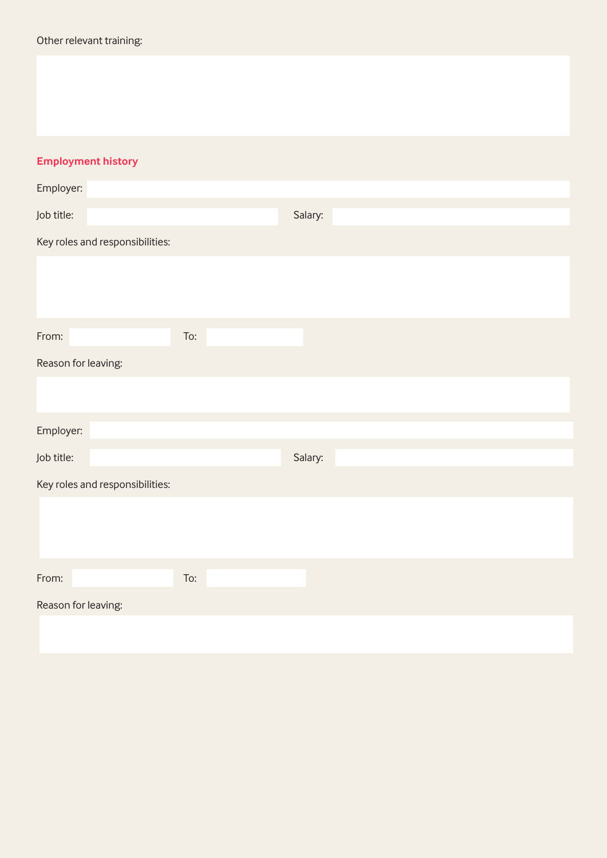## **Employment history**

| Employer:                       |     |         |
|---------------------------------|-----|---------|
| Job title:                      |     | Salary: |
| Key roles and responsibilities: |     |         |
|                                 |     |         |
|                                 |     |         |
|                                 |     |         |
| From:                           | To: |         |
| Reason for leaving:             |     |         |
|                                 |     |         |
| Employer:                       |     |         |
| Job title:                      |     | Salary: |
| Key roles and responsibilities: |     |         |
|                                 |     |         |
|                                 |     |         |
|                                 |     |         |
| From:                           | To: |         |
| Reason for leaving:             |     |         |
|                                 |     |         |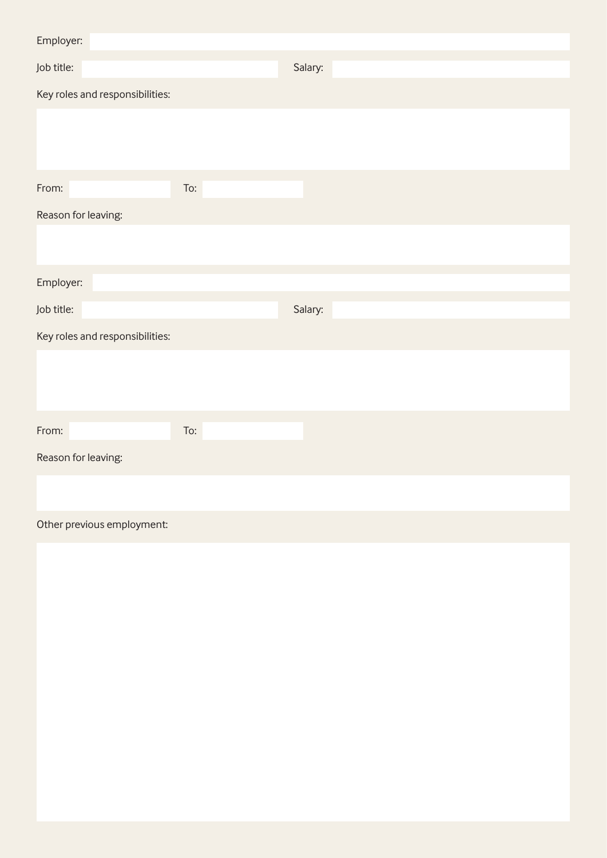| Employer:                       |     |         |
|---------------------------------|-----|---------|
| Job title:                      |     | Salary: |
| Key roles and responsibilities: |     |         |
|                                 |     |         |
|                                 |     |         |
| From:                           | To: |         |
| Reason for leaving:             |     |         |
|                                 |     |         |
|                                 |     |         |
| Employer:                       |     |         |
| Job title:                      |     | Salary: |
| Key roles and responsibilities: |     |         |
|                                 |     |         |
|                                 |     |         |
| From:                           | To: |         |
| Reason for leaving:             |     |         |
|                                 |     |         |
| Other previous employment:      |     |         |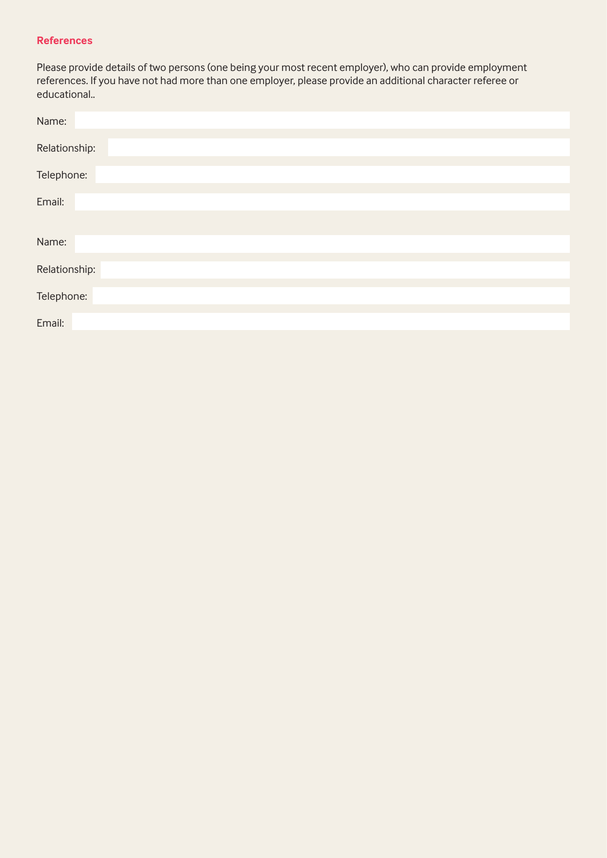#### **References**

Please provide details of two persons (one being your most recent employer), who can provide employment references. If you have not had more than one employer, please provide an additional character referee or educational..

| Name:         |
|---------------|
| Relationship: |
| Telephone:    |
| Email:        |
|               |
| Name:         |
| Relationship: |
| Telephone:    |
| Email:        |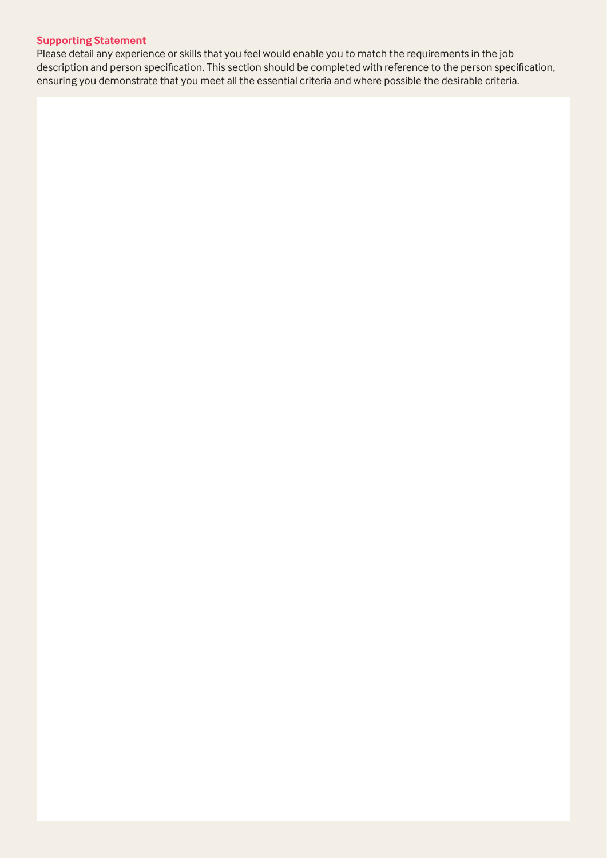### **Supporting Statement**

Please detail any experience or skills that you feel would enable you to match the requirements in the job description and person specification. This section should be completed with reference to the person specification, ensuring you demonstrate that you meet all the essential criteria and where possible the desirable criteria.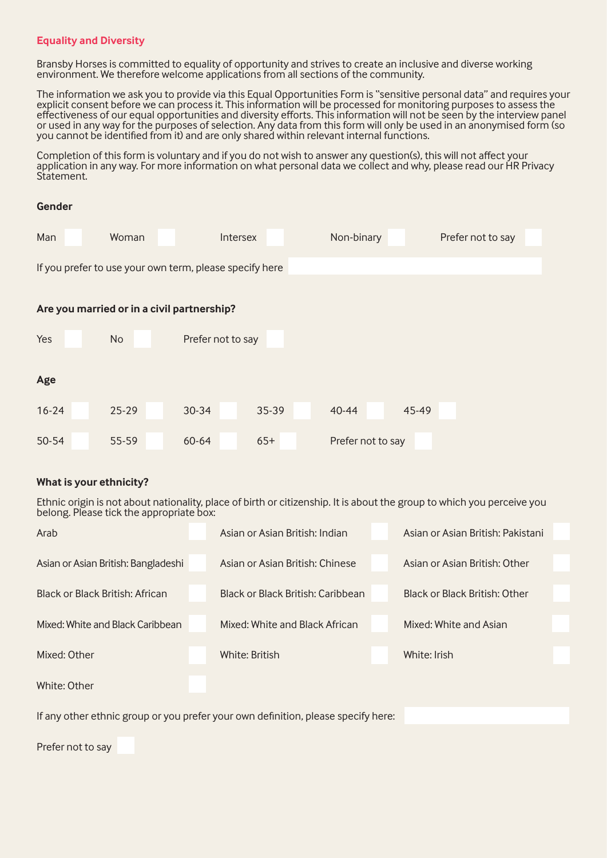### **Equality and Diversity**

Bransby Horses is committed to equality of opportunity and strives to create an inclusive and diverse working environment. We therefore welcome applications from all sections of the community.

The information we ask you to provide via this Equal Opportunities Form is "sensitive personal data" and requires your explicit consent before we can process it. This information will be processed for monitoring purposes to assess the effectiveness of our equal opportunities and diversity efforts. This information will not be seen by the interview panel or used in any way for the purposes of selection. Any data from this form will only be used in an anonymised form (so you cannot be identified from it) and are only shared within relevant internal functions.

Completion of this form is voluntary and if you do not wish to answer any question(s), this will not affect your application in any way. For more information on what personal data we collect and why, please read our HR Privacy Statement.

# **Gender**  Man Woman Intersex Non-binary Prefer not to say If you prefer to use your own term, please specify here **Are you married or in a civil partnership?**  Yes No Prefer not to say **Age** 16-24 25-29 30-34 35-39 40-44 45-49 50-54 55-59 60-64 65+ Prefer not to say

### **What is your ethnicity?**

Ethnic origin is not about nationality, place of birth or citizenship. It is about the group to which you perceive you belong. Please tick the appropriate box:

| Arab                                                                              | Asian or Asian British: Indian    | Asian or Asian British: Pakistani |  |
|-----------------------------------------------------------------------------------|-----------------------------------|-----------------------------------|--|
| Asian or Asian British: Bangladeshi                                               | Asian or Asian British: Chinese   | Asian or Asian British: Other     |  |
| Black or Black British: African                                                   | Black or Black British: Caribbean | Black or Black British: Other     |  |
| Mixed: White and Black Caribbean                                                  | Mixed: White and Black African    | Mixed: White and Asian            |  |
| Mixed: Other                                                                      | White: British                    | White: Irish                      |  |
| White: Other                                                                      |                                   |                                   |  |
| If any other ethnic group or you prefer your own definition, please specify here: |                                   |                                   |  |

Prefer not to say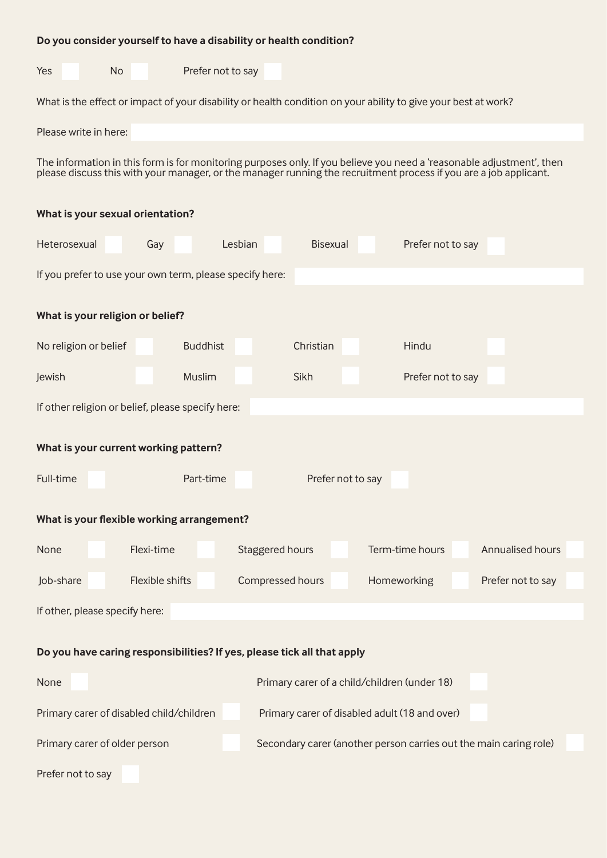| Do you consider yourself to have a disability or health condition?                                                                                                                                                                         |                   |                   |                                                                   |                   |
|--------------------------------------------------------------------------------------------------------------------------------------------------------------------------------------------------------------------------------------------|-------------------|-------------------|-------------------------------------------------------------------|-------------------|
| Yes<br><b>No</b>                                                                                                                                                                                                                           | Prefer not to say |                   |                                                                   |                   |
| What is the effect or impact of your disability or health condition on your ability to give your best at work?                                                                                                                             |                   |                   |                                                                   |                   |
| Please write in here:                                                                                                                                                                                                                      |                   |                   |                                                                   |                   |
| The information in this form is for monitoring purposes only. If you believe you need a 'reasonable adjustment', then<br>please discuss this with your manager, or the manager running the recruitment process if you are a job applicant. |                   |                   |                                                                   |                   |
| What is your sexual orientation?                                                                                                                                                                                                           |                   |                   |                                                                   |                   |
| Heterosexual<br>Gay                                                                                                                                                                                                                        | Lesbian           | <b>Bisexual</b>   | Prefer not to say                                                 |                   |
| If you prefer to use your own term, please specify here:                                                                                                                                                                                   |                   |                   |                                                                   |                   |
| What is your religion or belief?                                                                                                                                                                                                           |                   |                   |                                                                   |                   |
| No religion or belief                                                                                                                                                                                                                      | <b>Buddhist</b>   | Christian         | Hindu                                                             |                   |
| Jewish                                                                                                                                                                                                                                     | Muslim            | Sikh              | Prefer not to say                                                 |                   |
| If other religion or belief, please specify here:                                                                                                                                                                                          |                   |                   |                                                                   |                   |
| What is your current working pattern?                                                                                                                                                                                                      |                   |                   |                                                                   |                   |
| Full-time                                                                                                                                                                                                                                  | Part-time         | Prefer not to say |                                                                   |                   |
| What is your flexible working arrangement?                                                                                                                                                                                                 |                   |                   |                                                                   |                   |
| Flexi-time<br>None                                                                                                                                                                                                                         | Staggered hours   |                   | Term-time hours                                                   | Annualised hours  |
| Flexible shifts<br>Job-share                                                                                                                                                                                                               | Compressed hours  |                   | Homeworking                                                       | Prefer not to say |
| If other, please specify here:                                                                                                                                                                                                             |                   |                   |                                                                   |                   |
| Do you have caring responsibilities? If yes, please tick all that apply                                                                                                                                                                    |                   |                   |                                                                   |                   |
|                                                                                                                                                                                                                                            |                   |                   |                                                                   |                   |
| None                                                                                                                                                                                                                                       |                   |                   | Primary carer of a child/children (under 18)                      |                   |
| Primary carer of disabled child/children                                                                                                                                                                                                   |                   |                   | Primary carer of disabled adult (18 and over)                     |                   |
| Primary carer of older person                                                                                                                                                                                                              |                   |                   | Secondary carer (another person carries out the main caring role) |                   |
| Prefer not to say                                                                                                                                                                                                                          |                   |                   |                                                                   |                   |